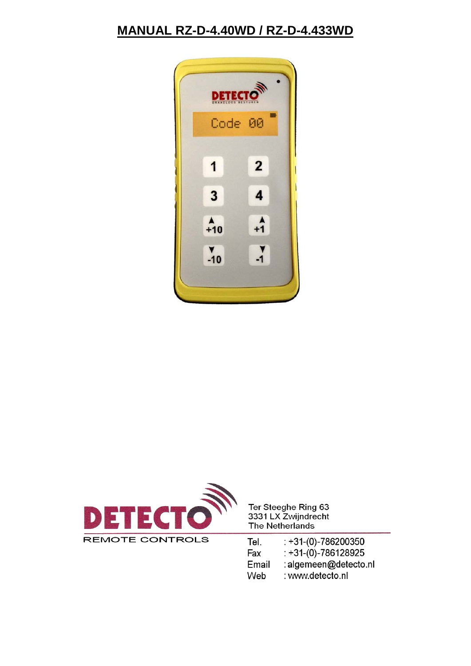#### **MANUAL RZ-D-4.40WD / RZ-D-4.433WD**





Ter Steeghe Ring 63<br>3331 LX Zwijndrecht The Netherlands

| Tel.  | $: +31(0)-786200350$  |
|-------|-----------------------|
| Fax   | $: +31(0)-786128925$  |
| Email | : algemeen@detecto.nl |
| Web   | : www.detecto.nl      |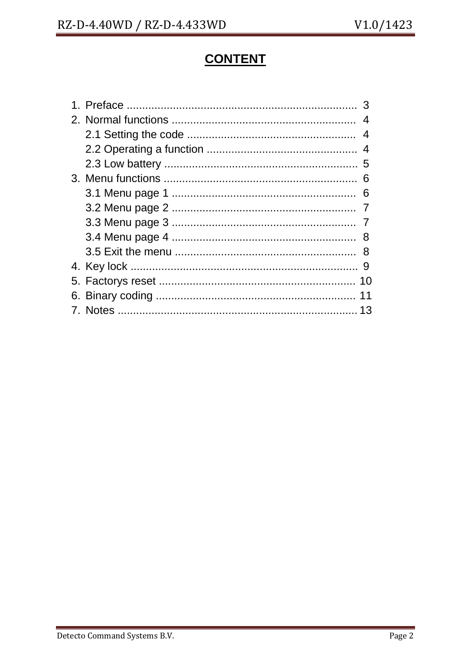# **CONTENT**

|  | $\overline{4}$ |
|--|----------------|
|  | 4              |
|  |                |
|  |                |
|  |                |
|  |                |
|  |                |
|  |                |
|  |                |
|  | -8             |
|  |                |
|  | 10             |
|  | 11             |
|  | 13             |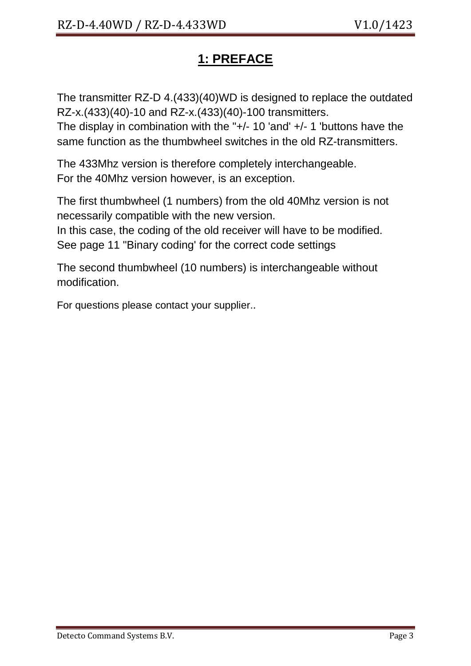# **1: PREFACE**

The transmitter RZ-D 4.(433)(40)WD is designed to replace the outdated RZ-x.(433)(40)-10 and RZ-x.(433)(40)-100 transmitters.

The display in combination with the "+/- 10 'and' +/- 1 'buttons have the same function as the thumbwheel switches in the old RZ-transmitters.

The 433Mhz version is therefore completely interchangeable. For the 40Mhz version however, is an exception.

The first thumbwheel (1 numbers) from the old 40Mhz version is not necessarily compatible with the new version.

In this case, the coding of the old receiver will have to be modified. See page 11 "Binary coding' for the correct code settings

The second thumbwheel (10 numbers) is interchangeable without modification.

For questions please contact your supplier..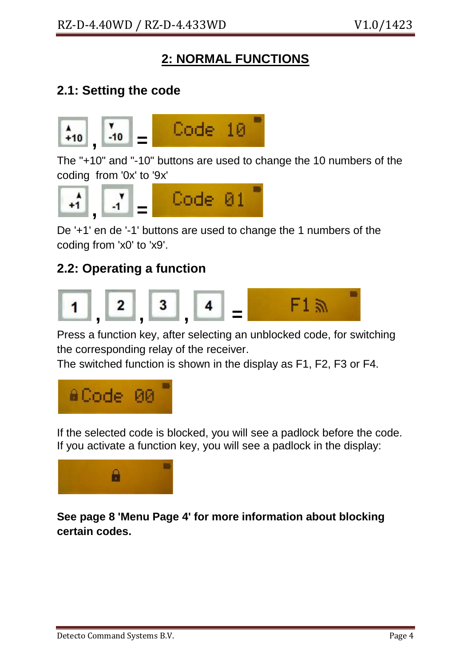### **2: NORMAL FUNCTIONS**

### **2.1: Setting the code**



The "+10" and "-10" buttons are used to change the 10 numbers of the coding from '0x' to '9x'



De '+1' en de '-1' buttons are used to change the 1 numbers of the coding from 'x0' to 'x9'.

### **2.2: Operating a function**



Press a function key, after selecting an unblocked code, for switching the corresponding relay of the receiver.

The switched function is shown in the display as F1, F2, F3 or F4.



If the selected code is blocked, you will see a padlock before the code. If you activate a function key, you will see a padlock in the display:



**See page 8 'Menu Page 4' for more information about blocking certain codes.**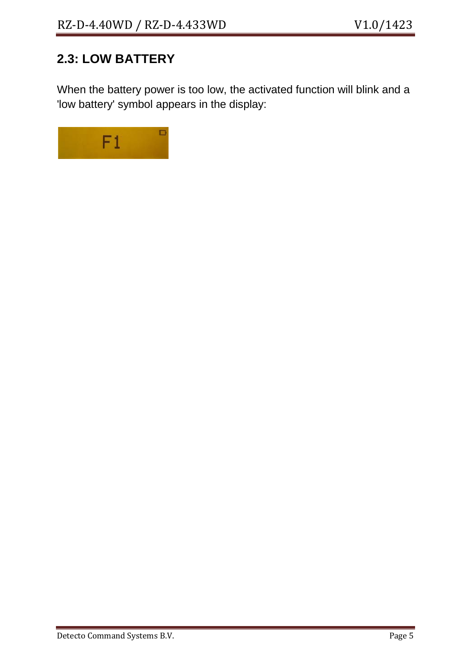# **2.3: LOW BATTERY**

When the battery power is too low, the activated function will blink and a 'low battery' symbol appears in the display:

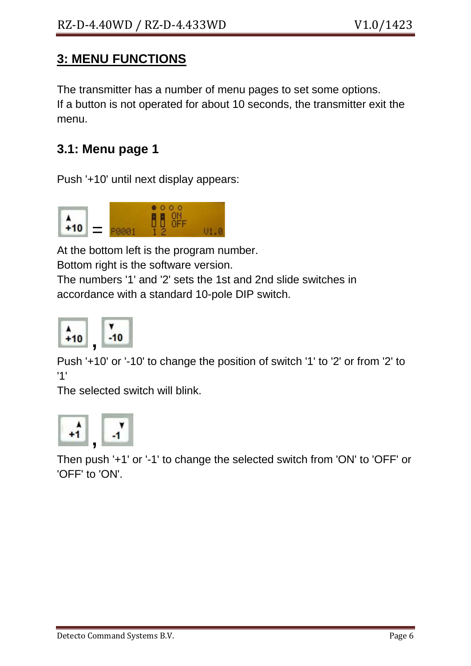### **3: MENU FUNCTIONS**

The transmitter has a number of menu pages to set some options. If a button is not operated for about 10 seconds, the transmitter exit the menu.

### **3.1: Menu page 1**

Push '+10' until next display appears:



At the bottom left is the program number.

Bottom right is the software version.

The numbers '1' and '2' sets the 1st and 2nd slide switches in accordance with a standard 10-pole DIP switch.



Push '+10' or '-10' to change the position of switch '1' to '2' or from '2' to '1'

The selected switch will blink.



Then push '+1' or '-1' to change the selected switch from 'ON' to 'OFF' or 'OFF' to 'ON'.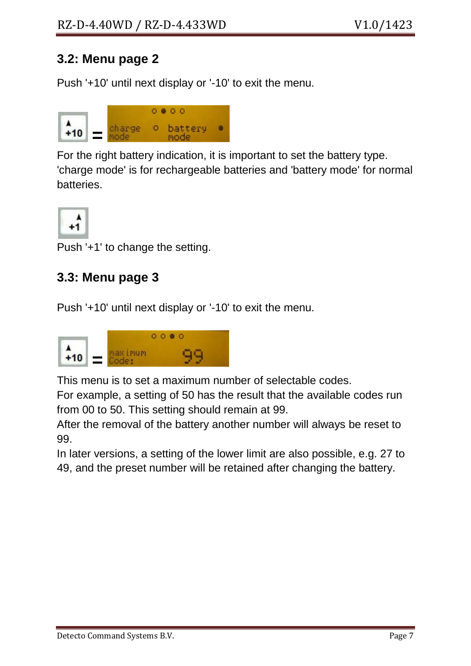#### **3.2: Menu page 2**

Push '+10' until next display or '-10' to exit the menu.



For the right battery indication, it is important to set the battery type. 'charge mode' is for rechargeable batteries and 'battery mode' for normal batteries.



Push '+1' to change the setting.

#### **3.3: Menu page 3**

Push '+10' until next display or '-10' to exit the menu.



This menu is to set a maximum number of selectable codes.

For example, a setting of 50 has the result that the available codes run from 00 to 50. This setting should remain at 99.

After the removal of the battery another number will always be reset to 99.

In later versions, a setting of the lower limit are also possible, e.g. 27 to 49, and the preset number will be retained after changing the battery.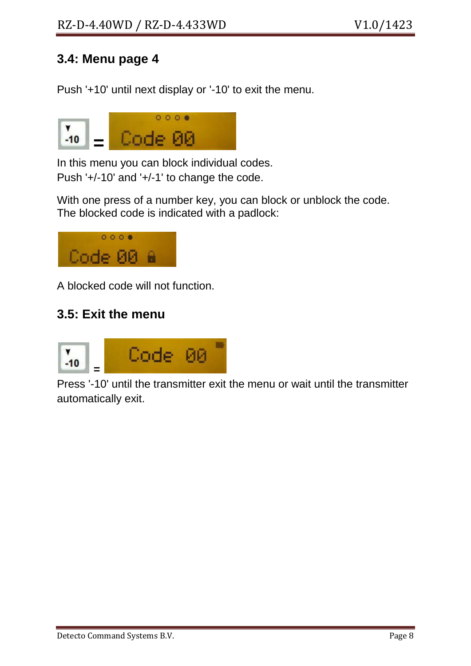#### **3.4: Menu page 4**

Push '+10' until next display or '-10' to exit the menu.



In this menu you can block individual codes. Push '+/-10' and '+/-1' to change the code.

With one press of a number key, you can block or unblock the code. The blocked code is indicated with a padlock:



A blocked code will not function.

#### **3.5: Exit the menu**



Press '-10' until the transmitter exit the menu or wait until the transmitter automatically exit.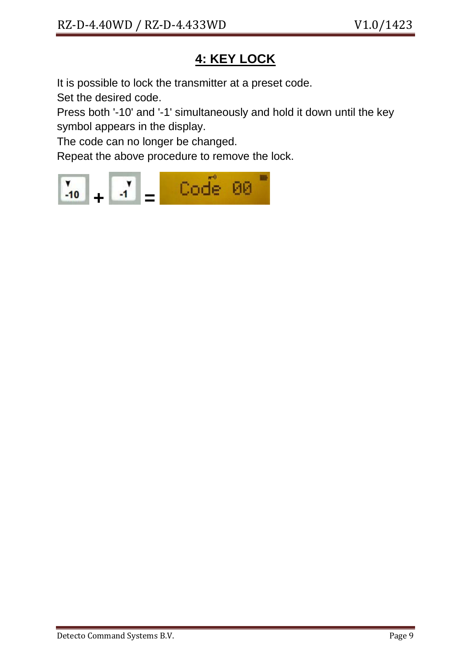# **4: KEY LOCK**

It is possible to lock the transmitter at a preset code.

Set the desired code.

Press both '-10' and '-1' simultaneously and hold it down until the key symbol appears in the display.

The code can no longer be changed.

Repeat the above procedure to remove the lock.

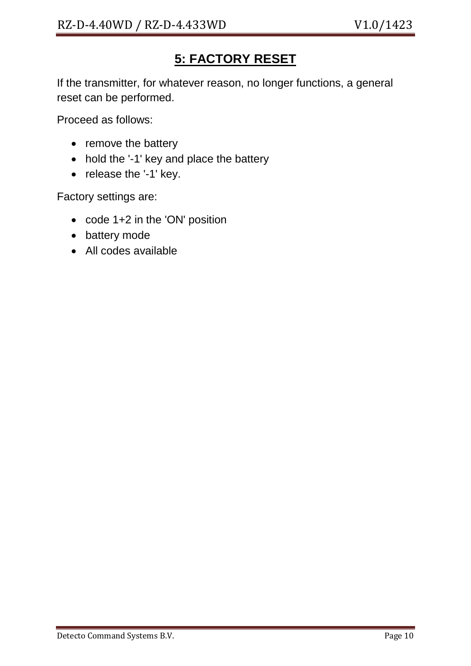# **5: FACTORY RESET**

If the transmitter, for whatever reason, no longer functions, a general reset can be performed.

Proceed as follows:

- remove the battery
- hold the '-1' key and place the battery
- release the '-1' key.

Factory settings are:

- code 1+2 in the 'ON' position
- battery mode
- All codes available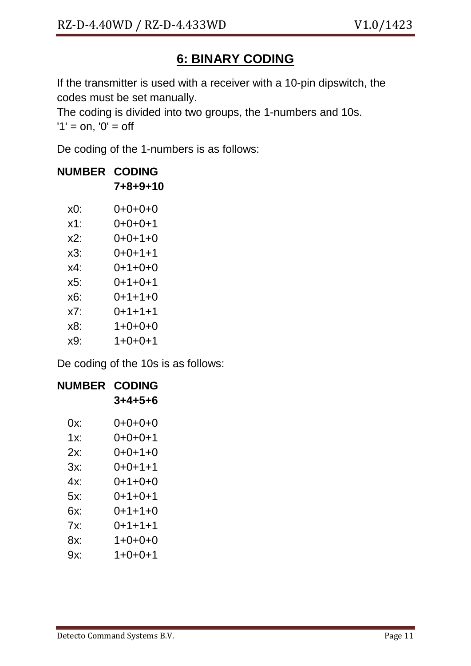# **6: BINARY CODING**

If the transmitter is used with a receiver with a 10-pin dipswitch, the codes must be set manually.

The coding is divided into two groups, the 1-numbers and 10s.  $'1' = 0n$ ,  $'0' = 0$ 

De coding of the 1-numbers is as follows:

| <b>NUMBER</b> | <b>CODING</b><br>7+8+9+10 |
|---------------|---------------------------|
| $x0$ :        | 0+0+0+0                   |
| $x1$ :        | $0+0+0+1$                 |
| $x2$ :        | 0+0+1+0                   |
| x3:           | $0+0+1+1$                 |
| x4:           | 0+1+0+0                   |
| x5:           | $0+1+0+1$                 |
| х6:           | $0+1+1+0$                 |
| x7:           | $0+1+1+1$                 |
| x8:           | $1+0+0+0$                 |
| x9·           | $1+0+0+1$                 |
|               |                           |

De coding of the 10s is as follows:

| <b>NUMBER</b> | <b>CODING</b> |
|---------------|---------------|
|               | $3+4+5+6$     |
| 0x:           | $0+0+0+0$     |
| 1x:           | 0+0+0+1       |
| 2x:           | $0+0+1+0$     |
| 3x:           | $0+0+1+1$     |
| 4x:           | $0+1+0+0$     |
| 5x:           | $0+1+0+1$     |
| 6x:           | $0+1+1+0$     |
| $7x$ :        | $0+1+1+1$     |
| 8x:           | $1+0+0+0$     |
| 9x:           | $1+0+0+1$     |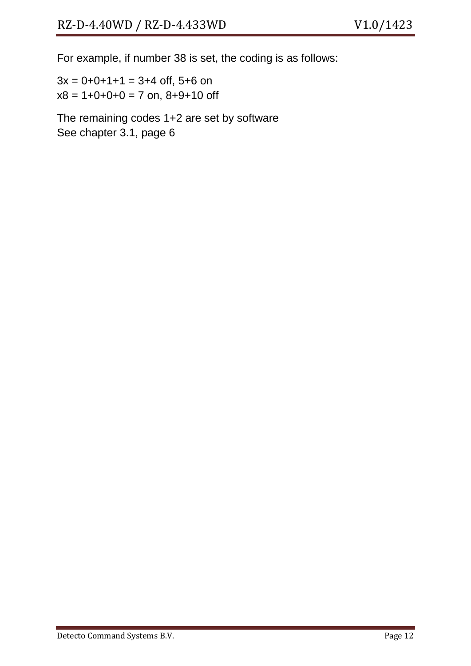For example, if number 38 is set, the coding is as follows:

 $3x = 0 + 0 + 1 + 1 = 3 + 4$  off, 5+6 on  $x8 = 1+0+0+0 = 7$  on,  $8+9+10$  off

The remaining codes 1+2 are set by software See chapter 3.1, page 6